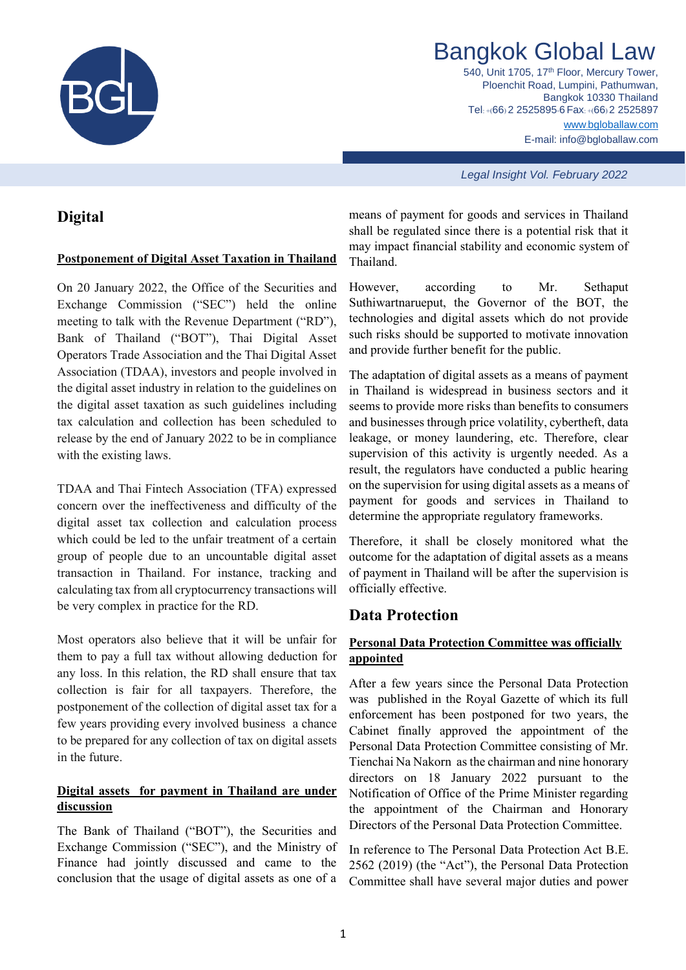

# Bangkok Global Law

540, Unit 1705, 17<sup>th</sup> Floor, Mercury Tower, Ploenchit Road, Lumpini, Pathumwan, Bangkok 10330 Thailand Tel: +(66) 2 2525895-6 Fax: +(66) 2 2525897 www.[bgloballaw](http://www.bgloballaw.com/).com E-mail: info@bgloballaw.com

*Legal Insight Vol. February 2022*

# **Digital**

#### **Postponement of Digital Asset Taxation in Thailand**

On 20 January 2022, the Office of the Securities and Exchange Commission ("SEC") held the online meeting to talk with the Revenue Department ("RD"), Bank of Thailand ("BOT"), Thai Digital Asset Operators Trade Association and the Thai Digital Asset Association (TDAA), investors and people involved in the digital asset industry in relation to the guidelines on the digital asset taxation as such guidelines including tax calculation and collection has been scheduled to release by the end of January 2022 to be in compliance with the existing laws.

TDAA and Thai Fintech Association (TFA) expressed concern over the ineffectiveness and difficulty of the digital asset tax collection and calculation process which could be led to the unfair treatment of a certain group of people due to an uncountable digital asset transaction in Thailand. For instance, tracking and calculating tax from all cryptocurrency transactions will be very complex in practice for the RD.

Most operators also believe that it will be unfair for them to pay a full tax without allowing deduction for any loss. In this relation, the RD shall ensure that tax collection is fair for all taxpayers. Therefore, the postponement of the collection of digital asset tax for a few years providing every involved business a chance to be prepared for any collection of tax on digital assets in the future.

## **Digital assets for payment in Thailand are under discussion**

The Bank of Thailand ("BOT"), the Securities and Exchange Commission ("SEC"), and the Ministry of Finance had jointly discussed and came to the conclusion that the usage of digital assets as one of a

means of payment for goods and services in Thailand shall be regulated since there is a potential risk that it may impact financial stability and economic system of Thailand.

However, according to Mr. Sethaput Suthiwartnarueput, the Governor of the BOT, the technologies and digital assets which do not provide such risks should be supported to motivate innovation and provide further benefit for the public.

The adaptation of digital assets as a means of payment in Thailand is widespread in business sectors and it seems to provide more risks than benefits to consumers and businesses through price volatility, cybertheft, data leakage, or money laundering, etc. Therefore, clear supervision of this activity is urgently needed. As a result, the regulators have conducted a public hearing on the supervision for using digital assets as a means of payment for goods and services in Thailand to determine the appropriate regulatory frameworks.

Therefore, it shall be closely monitored what the outcome for the adaptation of digital assets as a means of payment in Thailand will be after the supervision is officially effective.

## **Data Protection**

## **Personal Data Protection Committee was officially appointed**

After a few years since the Personal Data Protection was published in the Royal Gazette of which its full enforcement has been postponed for two years, the Cabinet finally approved the appointment of the Personal Data Protection Committee consisting of Mr. Tienchai Na Nakorn as the chairman and nine honorary directors on 18 January 2022 pursuant to the Notification of Office of the Prime Minister regarding the appointment of the Chairman and Honorary Directors of the Personal Data Protection Committee.

In reference to The Personal Data Protection Act B.E. 2562 (2019) (the "Act"), the Personal Data Protection Committee shall have several major duties and power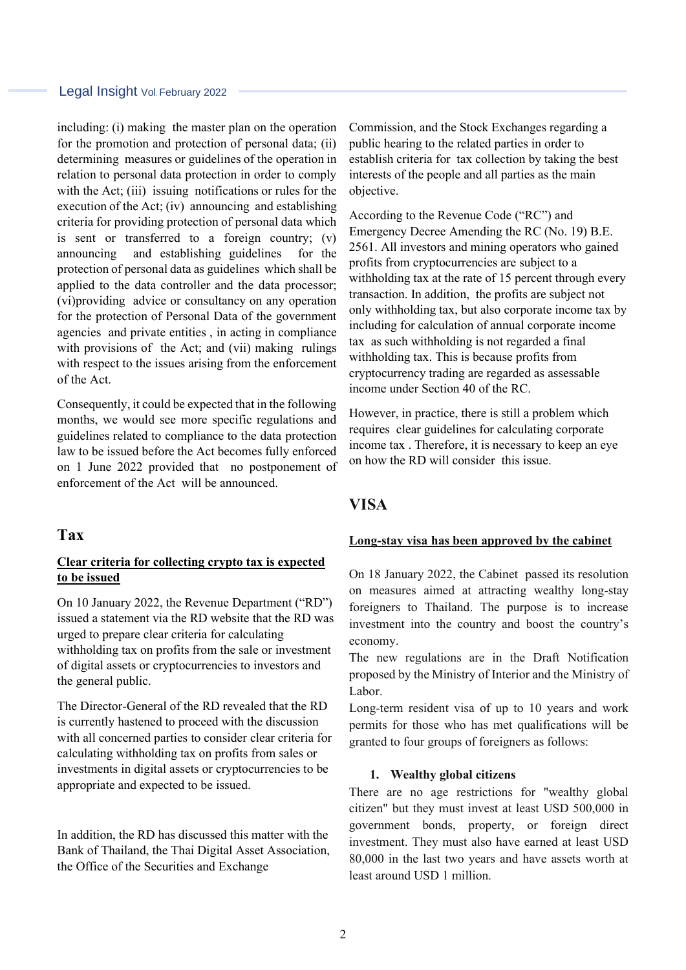#### Legal Insight Vol. February 2022

including: (i) making the master plan on the operation for the promotion and protection of personal data; (ii) determining measures or guidelines of the operation in relation to personal data protection in order to comply with the Act; (iii) issuing notifications or rules for the execution of the Act; (iv) announcing and establishing criteria for providing protection of personal data which is sent or transferred to a foreign country; (v) announcing and establishing guidelines for the protection of personal data as guidelines which shall be applied to the data controller and the data processor; (vi)providing advice or consultancy on any operation for the protection of Personal Data of the government agencies and private entities , in acting in compliance with provisions of the Act; and (vii) making rulings with respect to the issues arising from the enforcement of the Act.

Consequently, it could be expected that in the following months, we would see more specific regulations and guidelines related to compliance to the data protection law to be issued before the Act becomes fully enforced on 1 June 2022 provided that no postponement of enforcement of the Act will be announced.

### **Tax**

#### **Clear criteria for collecting crypto tax is expected to be issued**

On 10 January 2022, the Revenue Department ("RD") issued a statement via the RD website that the RD was urged to prepare clear criteria for calculating withholding tax on profits from the sale or investment of digital assets or cryptocurrencies to investors and the general public.

The Director-General of the RD revealed that the RD is currently hastened to proceed with the discussion with all concerned parties to consider clear criteria for calculating withholding tax on profits from sales or investments in digital assets or cryptocurrencies to be appropriate and expected to be issued.

In addition, the RD has discussed this matter with the Bank of Thailand, the Thai Digital Asset Association, the Office of the Securities and Exchange

Commission, and the Stock Exchanges regarding a public hearing to the related parties in order to establish criteria for tax collection by taking the best interests of the people and all parties as the main objective.

According to the Revenue Code ("RC") and Emergency Decree Amending the RC (No. 19) B.E. 2561. All investors and mining operators who gained profits from cryptocurrencies are subject to a withholding tax at the rate of 15 percent through every transaction. In addition, the profits are subject not only withholding tax, but also corporate income tax by including for calculation of annual corporate income tax as such withholding is not regarded a final withholding tax. This is because profits from cryptocurrency trading are regarded as assessable income under Section 40 of the RC.

However, in practice, there is still a problem which requires clear guidelines for calculating corporate income tax . Therefore, it is necessary to keep an eye on how the RD will consider this issue.

## **VISA**

#### **Long-stay visa has been approved by the cabinet**

On 18 January 2022, the Cabinet passed its resolution on measures aimed at attracting wealthy long-stay foreigners to Thailand. The purpose is to increase investment into the country and boost the country's economy.

The new regulations are in the Draft Notification proposed by the Ministry of Interior and the Ministry of Labor.

Long-term resident visa of up to 10 years and work permits for those who has met qualifications will be granted to four groups of foreigners as follows:

#### **1. Wealthy global citizens**

There are no age restrictions for "wealthy global citizen" but they must invest at least USD 500,000 in government bonds, property, or foreign direct investment. They must also have earned at least USD 80,000 in the last two years and have assets worth at least around USD 1 million.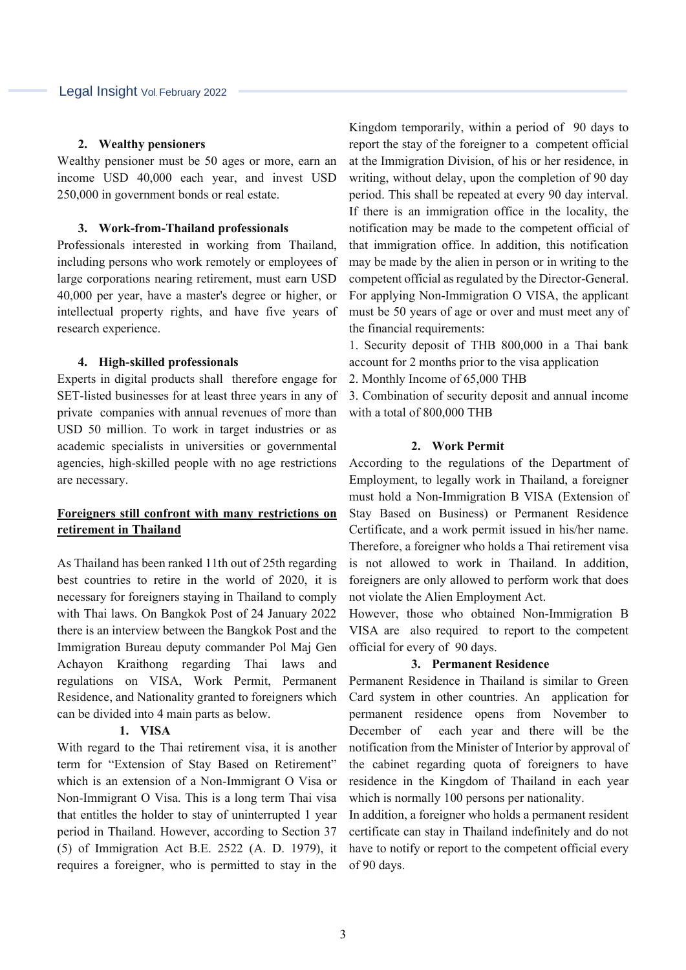#### **2. Wealthy pensioners**

Wealthy pensioner must be 50 ages or more, earn an income USD 40,000 each year, and invest USD 250,000 in government bonds or real estate.

#### **3. Work-from-Thailand professionals**

Professionals interested in working from Thailand, including persons who work remotely or employees of large corporations nearing retirement, must earn USD 40,000 per year, have a master's degree or higher, or intellectual property rights, and have five years of research experience.

#### **4. High-skilled professionals**

Experts in digital products shall therefore engage for SET-listed businesses for at least three years in any of private companies with annual revenues of more than USD 50 million. To work in target industries or as academic specialists in universities or governmental agencies, high-skilled people with no age restrictions are necessary.

## **Foreigners still confront with many restrictions on retirement in Thailand**

As Thailand has been ranked 11th out of 25th regarding best countries to retire in the world of 2020, it is necessary for foreigners staying in Thailand to comply with Thai laws. On Bangkok Post of 24 January 2022 there is an interview between the Bangkok Post and the Immigration Bureau deputy commander Pol Maj Gen Achayon Kraithong regarding Thai laws and regulations on VISA, Work Permit, Permanent Residence, and Nationality granted to foreigners which can be divided into 4 main parts as below.

#### **1. VISA**

With regard to the Thai retirement visa, it is another term for "Extension of Stay Based on Retirement" which is an extension of a Non-Immigrant O Visa or Non-Immigrant O Visa. This is a long term Thai visa that entitles the holder to stay of uninterrupted 1 year period in Thailand. However, according to Section 37 (5) of Immigration Act B.E. 2522 (A. D. 1979), it requires a foreigner, who is permitted to stay in the Kingdom temporarily, within a period of 90 days to report the stay of the foreigner to a competent official at the Immigration Division, of his or her residence, in writing, without delay, upon the completion of 90 day period. This shall be repeated at every 90 day interval. If there is an immigration office in the locality, the notification may be made to the competent official of that immigration office. In addition, this notification may be made by the alien in person or in writing to the competent official as regulated by the Director-General. For applying Non-Immigration O VISA, the applicant must be 50 years of age or over and must meet any of the financial requirements:

1. Security deposit of THB 800,000 in a Thai bank account for 2 months prior to the visa application

2. Monthly Income of 65,000 THB

3. Combination of security deposit and annual income with a total of 800,000 THB

#### **2. Work Permit**

According to the regulations of the Department of Employment, to legally work in Thailand, a foreigner must hold a Non-Immigration B VISA (Extension of Stay Based on Business) or Permanent Residence Certificate, and a work permit issued in his/her name. Therefore, a foreigner who holds a Thai retirement visa is not allowed to work in Thailand. In addition, foreigners are only allowed to perform work that does not violate the Alien Employment Act.

However, those who obtained Non-Immigration B VISA are also required to report to the competent official for every of 90 days.

#### **3. Permanent Residence**

Permanent Residence in Thailand is similar to Green Card system in other countries. An application for permanent residence opens from November to December of each year and there will be the notification from the Minister of Interior by approval of the cabinet regarding quota of foreigners to have residence in the Kingdom of Thailand in each year which is normally 100 persons per nationality.

In addition, a foreigner who holds a permanent resident certificate can stay in Thailand indefinitely and do not have to notify or report to the competent official every of 90 days.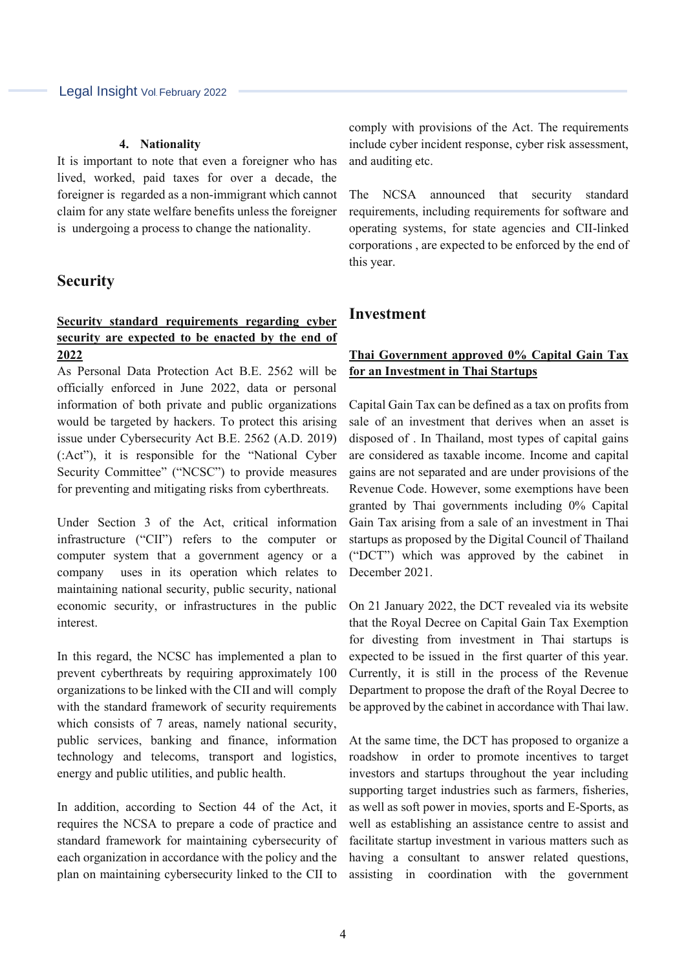#### **4. Nationality**

It is important to note that even a foreigner who has lived, worked, paid taxes for over a decade, the foreigner is regarded as a non-immigrant which cannot claim for any state welfare benefits unless the foreigner is undergoing a process to change the nationality.

## **Security**

## **Security standard requirements regarding cyber security are expected to be enacted by the end of 2022**

As Personal Data Protection Act B.E. 2562 will be officially enforced in June 2022, data or personal information of both private and public organizations would be targeted by hackers. To protect this arising issue under Cybersecurity Act B.E. 2562 (A.D. 2019) (:Act"), it is responsible for the "National Cyber Security Committee" ("NCSC") to provide measures for preventing and mitigating risks from cyberthreats.

Under Section 3 of the Act, critical information infrastructure ("CII") refers to the computer or computer system that a government agency or a company uses in its operation which relates to maintaining national security, public security, national economic security, or infrastructures in the public interest.

In this regard, the NCSC has implemented a plan to prevent cyberthreats by requiring approximately 100 organizations to be linked with the CII and will comply with the standard framework of security requirements which consists of 7 areas, namely national security, public services, banking and finance, information technology and telecoms, transport and logistics, energy and public utilities, and public health.

In addition, according to Section 44 of the Act, it requires the NCSA to prepare a code of practice and standard framework for maintaining cybersecurity of each organization in accordance with the policy and the plan on maintaining cybersecurity linked to the CII to comply with provisions of the Act. The requirements include cyber incident response, cyber risk assessment, and auditing etc.

The NCSA announced that security standard requirements, including requirements for software and operating systems, for state agencies and CII-linked corporations , are expected to be enforced by the end of this year.

## **Investment**

## **Thai Government approved 0% Capital Gain Tax for an Investment in Thai Startups**

Capital Gain Tax can be defined as a tax on profits from sale of an investment that derives when an asset is disposed of . In Thailand, most types of capital gains are considered as taxable income. Income and capital gains are not separated and are under provisions of the Revenue Code. However, some exemptions have been granted by Thai governments including 0% Capital Gain Tax arising from a sale of an investment in Thai startups as proposed by the Digital Council of Thailand ("DCT") which was approved by the cabinet in December 2021.

On 21 January 2022, the DCT revealed via its website that the Royal Decree on Capital Gain Tax Exemption for divesting from investment in Thai startups is expected to be issued in the first quarter of this year. Currently, it is still in the process of the Revenue Department to propose the draft of the Royal Decree to be approved by the cabinet in accordance with Thai law.

At the same time, the DCT has proposed to organize a roadshow in order to promote incentives to target investors and startups throughout the year including supporting target industries such as farmers, fisheries, as well as soft power in movies, sports and E-Sports, as well as establishing an assistance centre to assist and facilitate startup investment in various matters such as having a consultant to answer related questions, assisting in coordination with the government